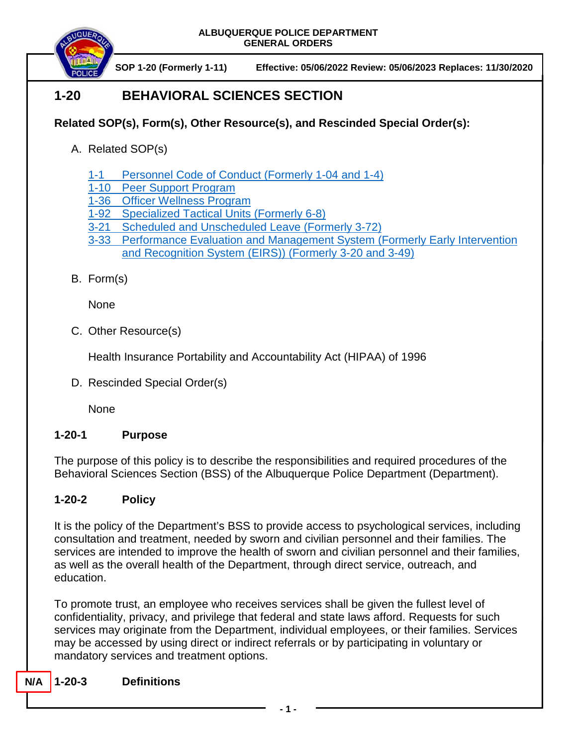

# **1-20 BEHAVIORAL SCIENCES SECTION**

## **Related SOP(s), Form(s), Other Resource(s), and Rescinded Special Order(s):**

- A. Related SOP(s)
	- 1-1 [Personnel Code of Conduct](https://powerdms.com/docs/17?q=1-1) (Formerly 1-04 and 1-4)
	- 1-10 [Peer Support Program](https://powerdms.com/docs/759451?q=1-10)
	- 1-36 [Officer Wellness Program](https://powerdms.com/docs/2261026?q=1-36)
	- 1-92 [Specialized Tactical Units \(Formerly 6-8\)](https://powerdms.com/docs/2067165?q=1-92)
	- 3-21 [Scheduled and Unscheduled Leave \(Formerly 3-72\)](https://powerdms.com/docs/213?q=3-21)
	- 3-33 [Performance Evaluation and Management System \(Formerly Early Intervention](https://powerdms.com/docs/190?q=3-33)  [and Recognition System \(EIRS\)\)](https://powerdms.com/docs/190?q=3-33) (Formerly 3-20 and 3-49)
- B. Form(s)

None

C. Other Resource(s)

Health Insurance Portability and Accountability Act (HIPAA) of 1996

D. Rescinded Special Order(s)

**None** 

## **1-20-1 Purpose**

The purpose of this policy is to describe the responsibilities and required procedures of the Behavioral Sciences Section (BSS) of the Albuquerque Police Department (Department).

## **1-20-2 Policy**

It is the policy of the Department's BSS to provide access to psychological services, including consultation and treatment, needed by sworn and civilian personnel and their families. The services are intended to improve the health of sworn and civilian personnel and their families, as well as the overall health of the Department, through direct service, outreach, and education.

To promote trust, an employee who receives services shall be given the fullest level of confidentiality, privacy, and privilege that federal and state laws afford. Requests for such services may originate from the Department, individual employees, or their families. Services may be accessed by using direct or indirect referrals or by participating in voluntary or mandatory services and treatment options.

**N/A 1-20-3 Definitions**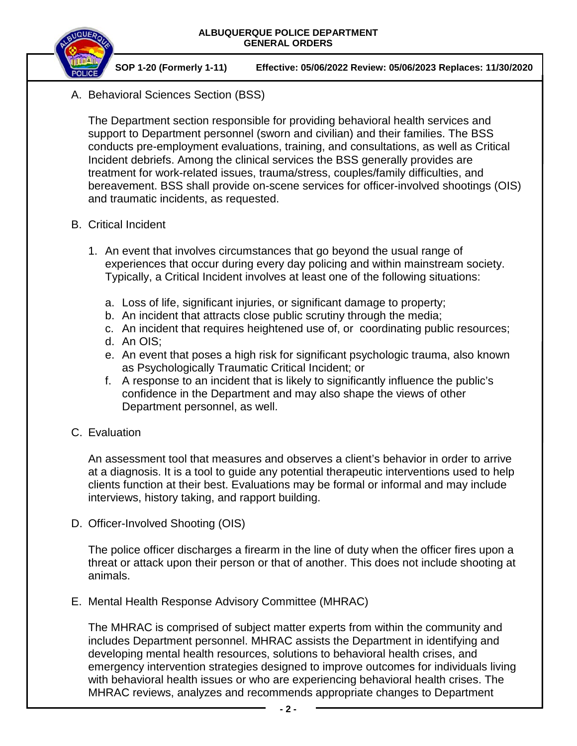

A. Behavioral Sciences Section (BSS)

The Department section responsible for providing behavioral health services and support to Department personnel (sworn and civilian) and their families. The BSS conducts pre-employment evaluations, training, and consultations, as well as Critical Incident debriefs. Among the clinical services the BSS generally provides are treatment for work-related issues, trauma/stress, couples/family difficulties, and bereavement. BSS shall provide on-scene services for officer-involved shootings (OIS) and traumatic incidents, as requested.

- B. Critical Incident
	- 1. An event that involves circumstances that go beyond the usual range of experiences that occur during every day policing and within mainstream society. Typically, a Critical Incident involves at least one of the following situations:
		- a. Loss of life, significant injuries, or significant damage to property;
		- b. An incident that attracts close public scrutiny through the media;
		- c. An incident that requires heightened use of, or coordinating public resources;
		- d. An OIS;
		- e. An event that poses a high risk for significant psychologic trauma, also known as Psychologically Traumatic Critical Incident; or
		- f. A response to an incident that is likely to significantly influence the public's confidence in the Department and may also shape the views of other Department personnel, as well.
- C. Evaluation

An assessment tool that measures and observes a client's behavior in order to arrive at a diagnosis. It is a tool to guide any potential therapeutic interventions used to help clients function at their best. Evaluations may be formal or informal and may include interviews, history taking, and rapport building.

D. Officer-Involved Shooting (OIS)

The police officer discharges a firearm in the line of duty when the officer fires upon a threat or attack upon their person or that of another. This does not include shooting at animals.

E. Mental Health Response Advisory Committee (MHRAC)

The MHRAC is comprised of subject matter experts from within the community and includes Department personnel. MHRAC assists the Department in identifying and developing mental health resources, solutions to behavioral health crises, and emergency intervention strategies designed to improve outcomes for individuals living with behavioral health issues or who are experiencing behavioral health crises. The MHRAC reviews, analyzes and recommends appropriate changes to Department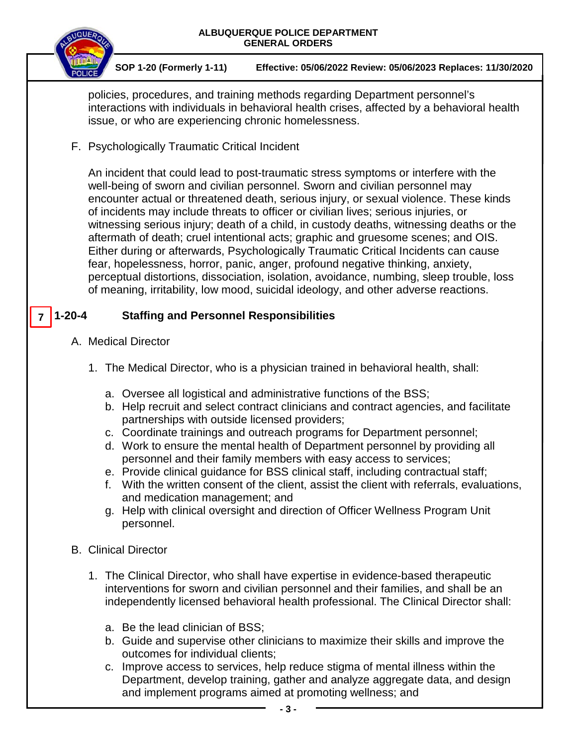| ALBUQUERQUE POLICE DEPARTMENT<br><b>GENERAL ORDERS</b> |                                                                                                                                                                                                                                                                                                                                                                                                                                                                                                                                                                                                                                                                                                                                                                                                                                                                                                  |
|--------------------------------------------------------|--------------------------------------------------------------------------------------------------------------------------------------------------------------------------------------------------------------------------------------------------------------------------------------------------------------------------------------------------------------------------------------------------------------------------------------------------------------------------------------------------------------------------------------------------------------------------------------------------------------------------------------------------------------------------------------------------------------------------------------------------------------------------------------------------------------------------------------------------------------------------------------------------|
|                                                        | SOP 1-20 (Formerly 1-11)<br>Effective: 05/06/2022 Review: 05/06/2023 Replaces: 11/30/2020                                                                                                                                                                                                                                                                                                                                                                                                                                                                                                                                                                                                                                                                                                                                                                                                        |
|                                                        | policies, procedures, and training methods regarding Department personnel's<br>interactions with individuals in behavioral health crises, affected by a behavioral health<br>issue, or who are experiencing chronic homelessness.                                                                                                                                                                                                                                                                                                                                                                                                                                                                                                                                                                                                                                                                |
|                                                        | F. Psychologically Traumatic Critical Incident                                                                                                                                                                                                                                                                                                                                                                                                                                                                                                                                                                                                                                                                                                                                                                                                                                                   |
|                                                        | An incident that could lead to post-traumatic stress symptoms or interfere with the<br>well-being of sworn and civilian personnel. Sworn and civilian personnel may<br>encounter actual or threatened death, serious injury, or sexual violence. These kinds<br>of incidents may include threats to officer or civilian lives; serious injuries, or<br>witnessing serious injury; death of a child, in custody deaths, witnessing deaths or the<br>aftermath of death; cruel intentional acts; graphic and gruesome scenes; and OIS.<br>Either during or afterwards, Psychologically Traumatic Critical Incidents can cause<br>fear, hopelessness, horror, panic, anger, profound negative thinking, anxiety,<br>perceptual distortions, dissociation, isolation, avoidance, numbing, sleep trouble, loss<br>of meaning, irritability, low mood, suicidal ideology, and other adverse reactions. |
| $1 - 20 - 4$                                           | <b>Staffing and Personnel Responsibilities</b>                                                                                                                                                                                                                                                                                                                                                                                                                                                                                                                                                                                                                                                                                                                                                                                                                                                   |
|                                                        | A. Medical Director                                                                                                                                                                                                                                                                                                                                                                                                                                                                                                                                                                                                                                                                                                                                                                                                                                                                              |
|                                                        | 1. The Medical Director, who is a physician trained in behavioral health, shall:                                                                                                                                                                                                                                                                                                                                                                                                                                                                                                                                                                                                                                                                                                                                                                                                                 |
|                                                        | a. Oversee all logistical and administrative functions of the BSS;<br>b. Help recruit and select contract clinicians and contract agencies, and facilitate<br>partnerships with outside licensed providers;<br>c. Coordinate trainings and outreach programs for Department personnel;<br>d. Work to ensure the mental health of Department personnel by providing all<br>personnel and their family members with easy access to services;<br>e. Provide clinical guidance for BSS clinical staff, including contractual staff;<br>f. With the written consent of the client, assist the client with referrals, evaluations,<br>and medication management; and<br>Help with clinical oversight and direction of Officer Wellness Program Unit<br>a.<br>personnel.                                                                                                                                |
|                                                        | <b>B.</b> Clinical Director                                                                                                                                                                                                                                                                                                                                                                                                                                                                                                                                                                                                                                                                                                                                                                                                                                                                      |
|                                                        | 1. The Clinical Director, who shall have expertise in evidence-based therapeutic<br>interventions for sworn and civilian personnel and their families, and shall be an<br>independently licensed behavioral health professional. The Clinical Director shall:                                                                                                                                                                                                                                                                                                                                                                                                                                                                                                                                                                                                                                    |
|                                                        | a. Be the lead clinician of BSS;<br>b. Guide and supervise other clinicians to maximize their skills and improve the<br>outcomes for individual clients;<br>c. Improve access to services, help reduce stigma of mental illness within the<br>Department, develop training, gather and analyze aggregate data, and design<br>and implement programs aimed at promoting wellness; and                                                                                                                                                                                                                                                                                                                                                                                                                                                                                                             |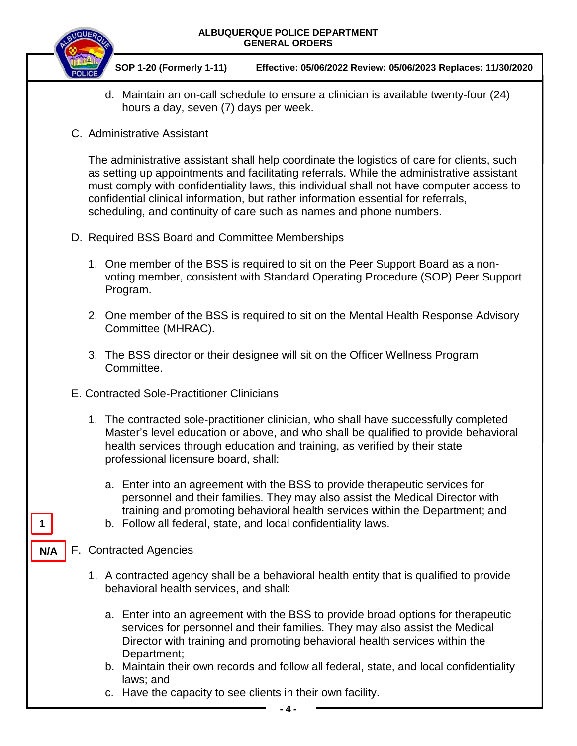



- d. Maintain an on-call schedule to ensure a clinician is available twenty-four (24) hours a day, seven (7) days per week.
- C. Administrative Assistant

The administrative assistant shall help coordinate the logistics of care for clients, such as setting up appointments and facilitating referrals. While the administrative assistant must comply with confidentiality laws, this individual shall not have computer access to confidential clinical information, but rather information essential for referrals, scheduling, and continuity of care such as names and phone numbers.

- D. Required BSS Board and Committee Memberships
	- 1. One member of the BSS is required to sit on the Peer Support Board as a nonvoting member, consistent with Standard Operating Procedure (SOP) Peer Support Program.
	- 2. One member of the BSS is required to sit on the Mental Health Response Advisory Committee (MHRAC).
	- 3. The BSS director or their designee will sit on the Officer Wellness Program Committee.
- E. Contracted Sole-Practitioner Clinicians
	- 1. The contracted sole-practitioner clinician, who shall have successfully completed Master's level education or above, and who shall be qualified to provide behavioral health services through education and training, as verified by their state professional licensure board, shall:
		- a. Enter into an agreement with the BSS to provide therapeutic services for personnel and their families. They may also assist the Medical Director with training and promoting behavioral health services within the Department; and
		- b. Follow all federal, state, and local confidentiality laws.
- F. Contracted Agencies

**1**

**N/A**

- 1. A contracted agency shall be a behavioral health entity that is qualified to provide behavioral health services, and shall:
	- a. Enter into an agreement with the BSS to provide broad options for therapeutic services for personnel and their families. They may also assist the Medical Director with training and promoting behavioral health services within the Department;
	- b. Maintain their own records and follow all federal, state, and local confidentiality laws; and
	- c. Have the capacity to see clients in their own facility.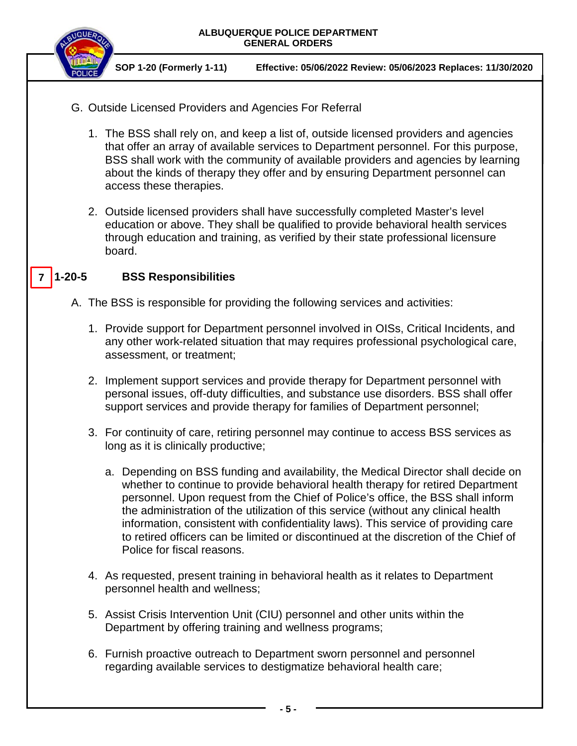



- G. Outside Licensed Providers and Agencies For Referral
	- 1. The BSS shall rely on, and keep a list of, outside licensed providers and agencies that offer an array of available services to Department personnel. For this purpose, BSS shall work with the community of available providers and agencies by learning about the kinds of therapy they offer and by ensuring Department personnel can access these therapies.
	- 2. Outside licensed providers shall have successfully completed Master's level education or above. They shall be qualified to provide behavioral health services through education and training, as verified by their state professional licensure board.

#### **1-20-5 BSS Responsibilities 7**

A. The BSS is responsible for providing the following services and activities:

- 1. Provide support for Department personnel involved in OISs, Critical Incidents, and any other work-related situation that may requires professional psychological care, assessment, or treatment;
- 2. Implement support services and provide therapy for Department personnel with personal issues, off-duty difficulties, and substance use disorders. BSS shall offer support services and provide therapy for families of Department personnel;
- 3. For continuity of care, retiring personnel may continue to access BSS services as long as it is clinically productive;
	- a. Depending on BSS funding and availability, the Medical Director shall decide on whether to continue to provide behavioral health therapy for retired Department personnel. Upon request from the Chief of Police's office, the BSS shall inform the administration of the utilization of this service (without any clinical health information, consistent with confidentiality laws). This service of providing care to retired officers can be limited or discontinued at the discretion of the Chief of Police for fiscal reasons.
- 4. As requested, present training in behavioral health as it relates to Department personnel health and wellness;
- 5. Assist Crisis Intervention Unit (CIU) personnel and other units within the Department by offering training and wellness programs;
- 6. Furnish proactive outreach to Department sworn personnel and personnel regarding available services to destigmatize behavioral health care;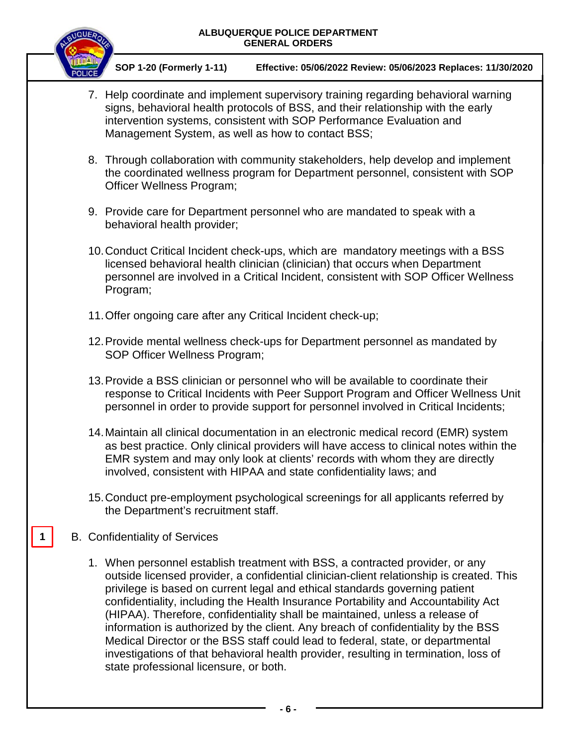

**SOP 1-20 (Formerly 1-11) Effective: 05/06/2022 Review: 05/06/2023 Replaces: 11/30/2020**

- 7. Help coordinate and implement supervisory training regarding behavioral warning signs, behavioral health protocols of BSS, and their relationship with the early intervention systems, consistent with SOP Performance Evaluation and Management System, as well as how to contact BSS;
- 8. Through collaboration with community stakeholders, help develop and implement the coordinated wellness program for Department personnel, consistent with SOP Officer Wellness Program;
- 9. Provide care for Department personnel who are mandated to speak with a behavioral health provider;
- 10.Conduct Critical Incident check-ups, which are mandatory meetings with a BSS licensed behavioral health clinician (clinician) that occurs when Department personnel are involved in a Critical Incident, consistent with SOP Officer Wellness Program;
- 11.Offer ongoing care after any Critical Incident check-up;
- 12.Provide mental wellness check-ups for Department personnel as mandated by SOP Officer Wellness Program;
- 13.Provide a BSS clinician or personnel who will be available to coordinate their response to Critical Incidents with Peer Support Program and Officer Wellness Unit personnel in order to provide support for personnel involved in Critical Incidents;
- 14.Maintain all clinical documentation in an electronic medical record (EMR) system as best practice. Only clinical providers will have access to clinical notes within the EMR system and may only look at clients' records with whom they are directly involved, consistent with HIPAA and state confidentiality laws; and
- 15.Conduct pre-employment psychological screenings for all applicants referred by the Department's recruitment staff.
- B. Confidentiality of Services

**1**

1. When personnel establish treatment with BSS, a contracted provider, or any outside licensed provider, a confidential clinician-client relationship is created. This privilege is based on current legal and ethical standards governing patient confidentiality, including the Health Insurance Portability and Accountability Act (HIPAA). Therefore, confidentiality shall be maintained, unless a release of information is authorized by the client. Any breach of confidentiality by the BSS Medical Director or the BSS staff could lead to federal, state, or departmental investigations of that behavioral health provider, resulting in termination, loss of state professional licensure, or both.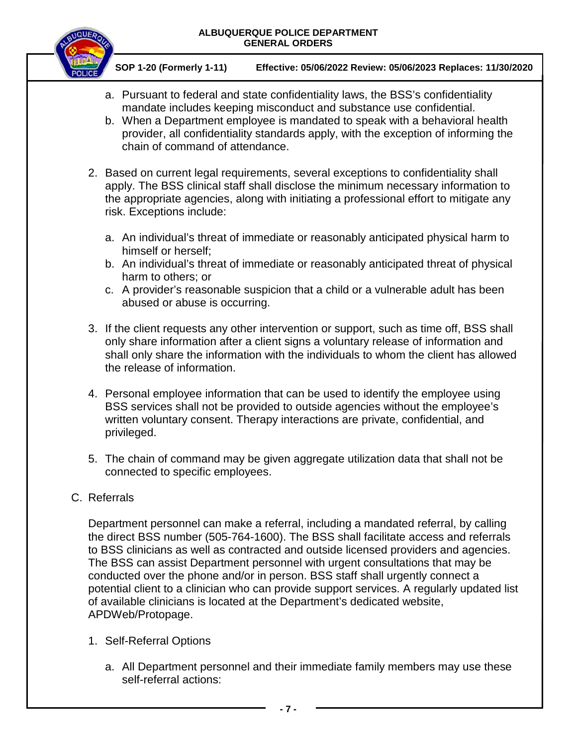

**SOP 1-20 (Formerly 1-11) Effective: 05/06/2022 Review: 05/06/2023 Replaces: 11/30/2020**

- a. Pursuant to federal and state confidentiality laws, the BSS's confidentiality mandate includes keeping misconduct and substance use confidential.
- b. When a Department employee is mandated to speak with a behavioral health provider, all confidentiality standards apply, with the exception of informing the chain of command of attendance.
- 2. Based on current legal requirements, several exceptions to confidentiality shall apply. The BSS clinical staff shall disclose the minimum necessary information to the appropriate agencies, along with initiating a professional effort to mitigate any risk. Exceptions include:
	- a. An individual's threat of immediate or reasonably anticipated physical harm to himself or herself;
	- b. An individual's threat of immediate or reasonably anticipated threat of physical harm to others; or
	- c. A provider's reasonable suspicion that a child or a vulnerable adult has been abused or abuse is occurring.
- 3. If the client requests any other intervention or support, such as time off, BSS shall only share information after a client signs a voluntary release of information and shall only share the information with the individuals to whom the client has allowed the release of information.
- 4. Personal employee information that can be used to identify the employee using BSS services shall not be provided to outside agencies without the employee's written voluntary consent. Therapy interactions are private, confidential, and privileged.
- 5. The chain of command may be given aggregate utilization data that shall not be connected to specific employees.
- C. Referrals

Department personnel can make a referral, including a mandated referral, by calling the direct BSS number (505-764-1600). The BSS shall facilitate access and referrals to BSS clinicians as well as contracted and outside licensed providers and agencies. The BSS can assist Department personnel with urgent consultations that may be conducted over the phone and/or in person. BSS staff shall urgently connect a potential client to a clinician who can provide support services. A regularly updated list of available clinicians is located at the Department's dedicated website, APDWeb/Protopage.

- 1. Self-Referral Options
	- a. All Department personnel and their immediate family members may use these self-referral actions: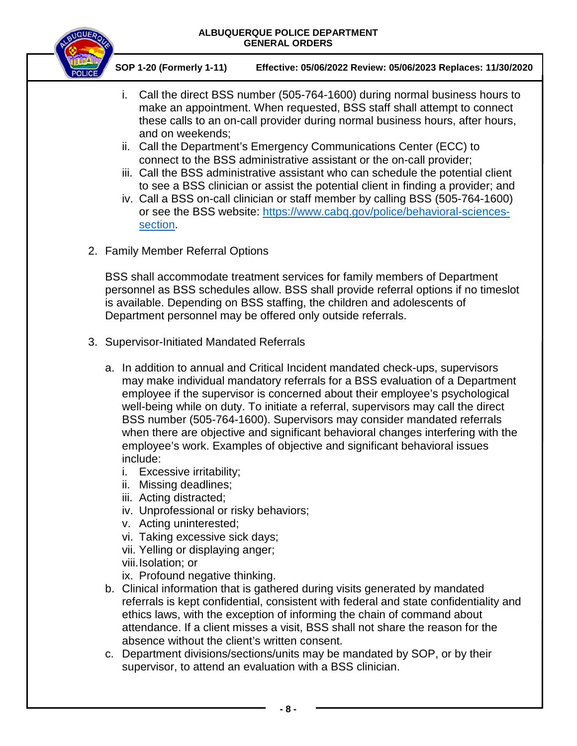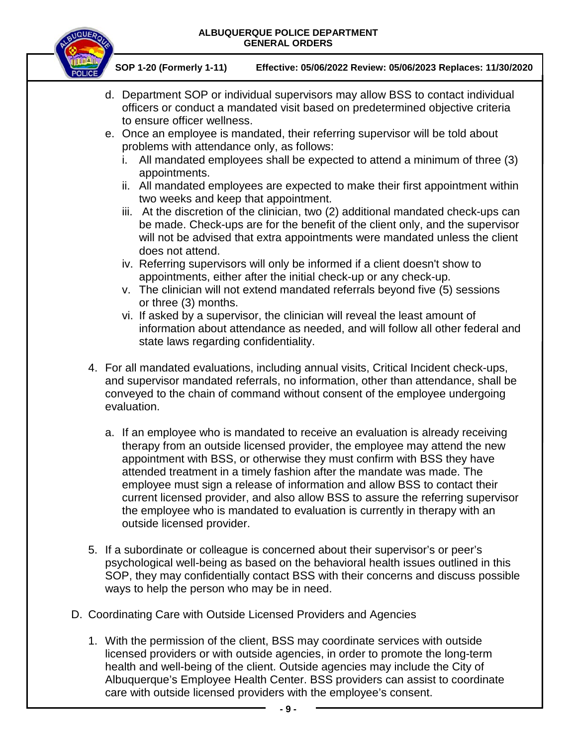

1. With the permission of the client, BSS may coordinate services with outside licensed providers or with outside agencies, in order to promote the long-term health and well-being of the client. Outside agencies may include the City of Albuquerque's Employee Health Center. BSS providers can assist to coordinate care with outside licensed providers with the employee's consent.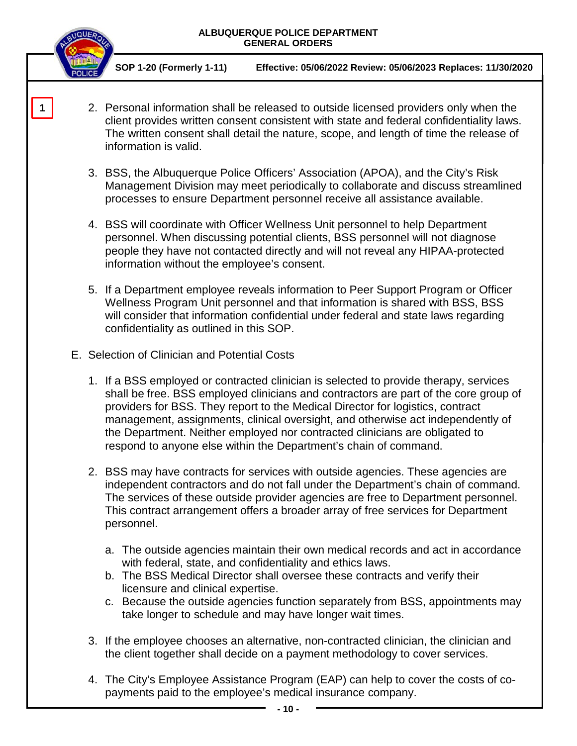**SOP 1-20 (Formerly 1-11) Effective: 05/06/2022 Review: 05/06/2023 Replaces: 11/30/2020**

- 2. Personal information shall be released to outside licensed providers only when the client provides written consent consistent with state and federal confidentiality laws. The written consent shall detail the nature, scope, and length of time the release of information is valid.
- 3. BSS, the Albuquerque Police Officers' Association (APOA), and the City's Risk Management Division may meet periodically to collaborate and discuss streamlined processes to ensure Department personnel receive all assistance available.
- 4. BSS will coordinate with Officer Wellness Unit personnel to help Department personnel. When discussing potential clients, BSS personnel will not diagnose people they have not contacted directly and will not reveal any HIPAA-protected information without the employee's consent.
- 5. If a Department employee reveals information to Peer Support Program or Officer Wellness Program Unit personnel and that information is shared with BSS, BSS will consider that information confidential under federal and state laws regarding confidentiality as outlined in this SOP.
- E. Selection of Clinician and Potential Costs

**1**

- 1. If a BSS employed or contracted clinician is selected to provide therapy, services shall be free. BSS employed clinicians and contractors are part of the core group of providers for BSS. They report to the Medical Director for logistics, contract management, assignments, clinical oversight, and otherwise act independently of the Department. Neither employed nor contracted clinicians are obligated to respond to anyone else within the Department's chain of command.
- 2. BSS may have contracts for services with outside agencies. These agencies are independent contractors and do not fall under the Department's chain of command. The services of these outside provider agencies are free to Department personnel. This contract arrangement offers a broader array of free services for Department personnel.
	- a. The outside agencies maintain their own medical records and act in accordance with federal, state, and confidentiality and ethics laws.
	- b. The BSS Medical Director shall oversee these contracts and verify their licensure and clinical expertise.
	- c. Because the outside agencies function separately from BSS, appointments may take longer to schedule and may have longer wait times.
- 3. If the employee chooses an alternative, non-contracted clinician, the clinician and the client together shall decide on a payment methodology to cover services.
- 4. The City's Employee Assistance Program (EAP) can help to cover the costs of copayments paid to the employee's medical insurance company.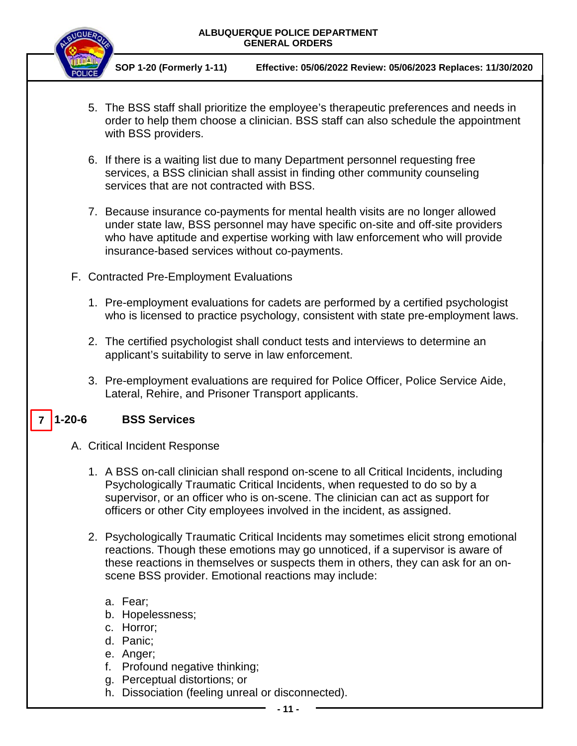

**SOP 1-20 (Formerly 1-11) Effective: 05/06/2022 Review: 05/06/2023 Replaces: 11/30/2020**

- 5. The BSS staff shall prioritize the employee's therapeutic preferences and needs in order to help them choose a clinician. BSS staff can also schedule the appointment with BSS providers.
- 6. If there is a waiting list due to many Department personnel requesting free services, a BSS clinician shall assist in finding other community counseling services that are not contracted with BSS.
- 7. Because insurance co-payments for mental health visits are no longer allowed under state law, BSS personnel may have specific on-site and off-site providers who have aptitude and expertise working with law enforcement who will provide insurance-based services without co-payments.
- F. Contracted Pre-Employment Evaluations
	- 1. Pre-employment evaluations for cadets are performed by a certified psychologist who is licensed to practice psychology, consistent with state pre-employment laws.
	- 2. The certified psychologist shall conduct tests and interviews to determine an applicant's suitability to serve in law enforcement.
	- 3. Pre-employment evaluations are required for Police Officer, Police Service Aide, Lateral, Rehire, and Prisoner Transport applicants.

#### **1-20-6 BSS Services 7**

- A. Critical Incident Response
	- 1. A BSS on-call clinician shall respond on-scene to all Critical Incidents, including Psychologically Traumatic Critical Incidents, when requested to do so by a supervisor, or an officer who is on-scene. The clinician can act as support for officers or other City employees involved in the incident, as assigned.
	- 2. Psychologically Traumatic Critical Incidents may sometimes elicit strong emotional reactions. Though these emotions may go unnoticed, if a supervisor is aware of these reactions in themselves or suspects them in others, they can ask for an onscene BSS provider. Emotional reactions may include:
		- a. Fear;
		- b. Hopelessness;
		- c. Horror;
		- d. Panic;
		- e. Anger;
		- f. Profound negative thinking;
		- g. Perceptual distortions; or
		- h. Dissociation (feeling unreal or disconnected).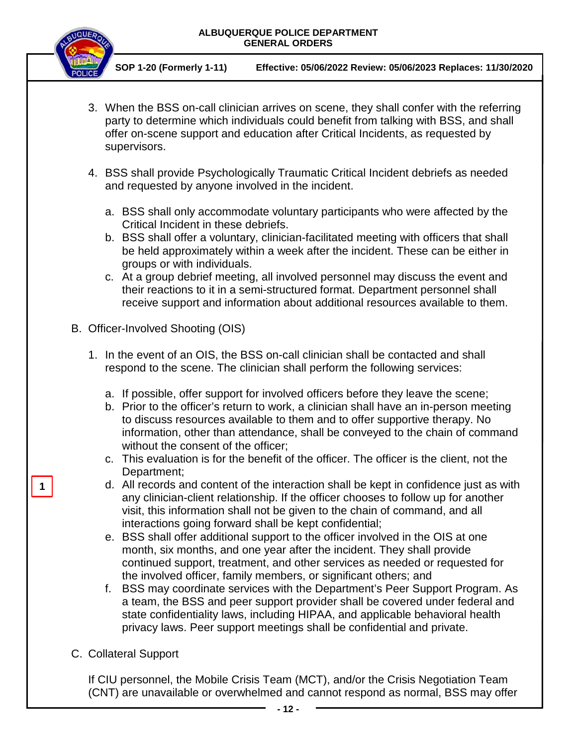

**SOP 1-20 (Formerly 1-11) Effective: 05/06/2022 Review: 05/06/2023 Replaces: 11/30/2020**

- 3. When the BSS on-call clinician arrives on scene, they shall confer with the referring party to determine which individuals could benefit from talking with BSS, and shall offer on-scene support and education after Critical Incidents, as requested by supervisors.
- 4. BSS shall provide Psychologically Traumatic Critical Incident debriefs as needed and requested by anyone involved in the incident.
	- a. BSS shall only accommodate voluntary participants who were affected by the Critical Incident in these debriefs.
	- b. BSS shall offer a voluntary, clinician-facilitated meeting with officers that shall be held approximately within a week after the incident. These can be either in groups or with individuals.
	- c. At a group debrief meeting, all involved personnel may discuss the event and their reactions to it in a semi-structured format. Department personnel shall receive support and information about additional resources available to them.
- B. Officer-Involved Shooting (OIS)
	- 1. In the event of an OIS, the BSS on-call clinician shall be contacted and shall respond to the scene. The clinician shall perform the following services:
		- a. If possible, offer support for involved officers before they leave the scene;
		- b. Prior to the officer's return to work, a clinician shall have an in-person meeting to discuss resources available to them and to offer supportive therapy. No information, other than attendance, shall be conveyed to the chain of command without the consent of the officer;
		- c. This evaluation is for the benefit of the officer. The officer is the client, not the Department;
		- d. All records and content of the interaction shall be kept in confidence just as with any clinician-client relationship. If the officer chooses to follow up for another visit, this information shall not be given to the chain of command, and all interactions going forward shall be kept confidential;
		- e. BSS shall offer additional support to the officer involved in the OIS at one month, six months, and one year after the incident. They shall provide continued support, treatment, and other services as needed or requested for the involved officer, family members, or significant others; and
		- f. BSS may coordinate services with the Department's Peer Support Program. As a team, the BSS and peer support provider shall be covered under federal and state confidentiality laws, including HIPAA, and applicable behavioral health privacy laws. Peer support meetings shall be confidential and private.
- C. Collateral Support

**1**

If CIU personnel, the Mobile Crisis Team (MCT), and/or the Crisis Negotiation Team (CNT) are unavailable or overwhelmed and cannot respond as normal, BSS may offer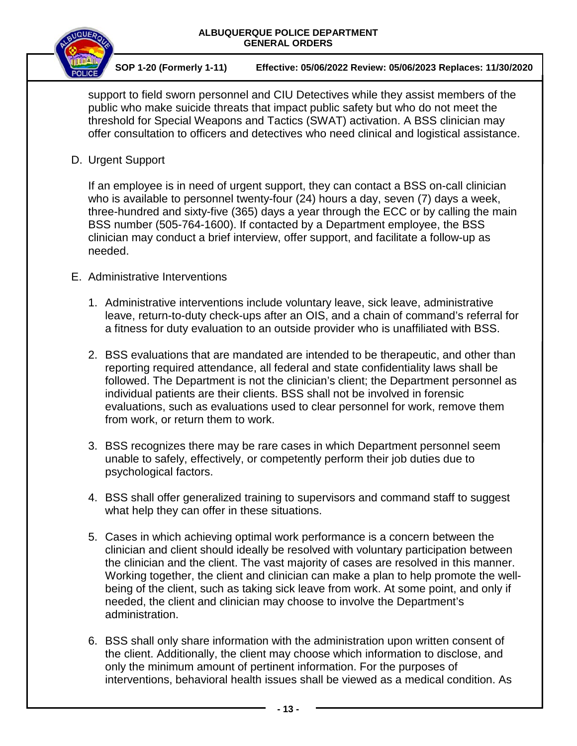

support to field sworn personnel and CIU Detectives while they assist members of the public who make suicide threats that impact public safety but who do not meet the threshold for Special Weapons and Tactics (SWAT) activation. A BSS clinician may offer consultation to officers and detectives who need clinical and logistical assistance.

D. Urgent Support

If an employee is in need of urgent support, they can contact a BSS on-call clinician who is available to personnel twenty-four (24) hours a day, seven (7) days a week, three-hundred and sixty-five (365) days a year through the ECC or by calling the main BSS number (505-764-1600). If contacted by a Department employee, the BSS clinician may conduct a brief interview, offer support, and facilitate a follow-up as needed.

- E. Administrative Interventions
	- 1. Administrative interventions include voluntary leave, sick leave, administrative leave, return-to-duty check-ups after an OIS, and a chain of command's referral for a fitness for duty evaluation to an outside provider who is unaffiliated with BSS.
	- 2. BSS evaluations that are mandated are intended to be therapeutic, and other than reporting required attendance, all federal and state confidentiality laws shall be followed. The Department is not the clinician's client; the Department personnel as individual patients are their clients. BSS shall not be involved in forensic evaluations, such as evaluations used to clear personnel for work, remove them from work, or return them to work.
	- 3. BSS recognizes there may be rare cases in which Department personnel seem unable to safely, effectively, or competently perform their job duties due to psychological factors.
	- 4. BSS shall offer generalized training to supervisors and command staff to suggest what help they can offer in these situations.
	- 5. Cases in which achieving optimal work performance is a concern between the clinician and client should ideally be resolved with voluntary participation between the clinician and the client. The vast majority of cases are resolved in this manner. Working together, the client and clinician can make a plan to help promote the wellbeing of the client, such as taking sick leave from work. At some point, and only if needed, the client and clinician may choose to involve the Department's administration.
	- 6. BSS shall only share information with the administration upon written consent of the client. Additionally, the client may choose which information to disclose, and only the minimum amount of pertinent information. For the purposes of interventions, behavioral health issues shall be viewed as a medical condition. As